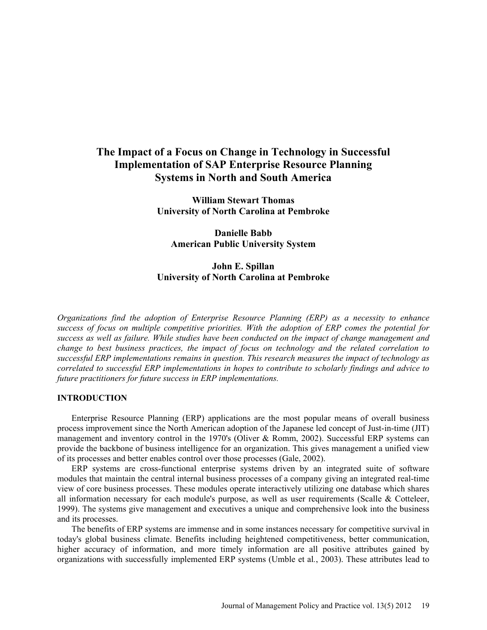# **The Impact of a Focus on Change in Technology in Successful Implementation of SAP Enterprise Resource Planning Systems in North and South America**

**William Stewart Thomas University of North Carolina at Pembroke** 

**Danielle Babb American Public University System** 

## **John E. Spillan University of North Carolina at Pembroke**

*Organizations find the adoption of Enterprise Resource Planning (ERP) as a necessity to enhance success of focus on multiple competitive priorities. With the adoption of ERP comes the potential for success as well as failure. While studies have been conducted on the impact of change management and change to best business practices, the impact of focus on technology and the related correlation to successful ERP implementations remains in question. This research measures the impact of technology as correlated to successful ERP implementations in hopes to contribute to scholarly findings and advice to future practitioners for future success in ERP implementations.* 

#### **INTRODUCTION**

Enterprise Resource Planning (ERP) applications are the most popular means of overall business process improvement since the North American adoption of the Japanese led concept of Just-in-time (JIT) management and inventory control in the 1970's (Oliver & Romm, 2002). Successful ERP systems can provide the backbone of business intelligence for an organization. This gives management a unified view of its processes and better enables control over those processes (Gale, 2002).

ERP systems are cross-functional enterprise systems driven by an integrated suite of software modules that maintain the central internal business processes of a company giving an integrated real-time view of core business processes. These modules operate interactively utilizing one database which shares all information necessary for each module's purpose, as well as user requirements (Scalle & Cotteleer, 1999). The systems give management and executives a unique and comprehensive look into the business and its processes.

The benefits of ERP systems are immense and in some instances necessary for competitive survival in today's global business climate. Benefits including heightened competitiveness, better communication, higher accuracy of information, and more timely information are all positive attributes gained by organizations with successfully implemented ERP systems (Umble et al*.*, 2003). These attributes lead to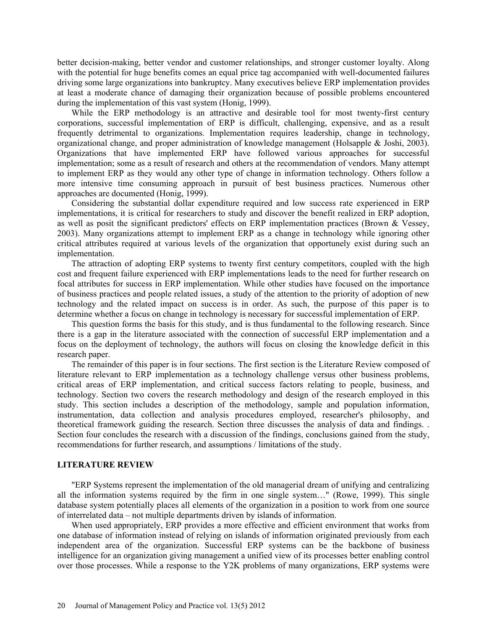better decision-making, better vendor and customer relationships, and stronger customer loyalty. Along with the potential for huge benefits comes an equal price tag accompanied with well-documented failures driving some large organizations into bankruptcy. Many executives believe ERP implementation provides at least a moderate chance of damaging their organization because of possible problems encountered during the implementation of this vast system (Honig, 1999).

While the ERP methodology is an attractive and desirable tool for most twenty-first century corporations, successful implementation of ERP is difficult, challenging, expensive, and as a result frequently detrimental to organizations. Implementation requires leadership, change in technology, organizational change, and proper administration of knowledge management (Holsapple & Joshi, 2003). Organizations that have implemented ERP have followed various approaches for successful implementation; some as a result of research and others at the recommendation of vendors. Many attempt to implement ERP as they would any other type of change in information technology. Others follow a more intensive time consuming approach in pursuit of best business practices. Numerous other approaches are documented (Honig, 1999).

Considering the substantial dollar expenditure required and low success rate experienced in ERP implementations, it is critical for researchers to study and discover the benefit realized in ERP adoption, as well as posit the significant predictors' effects on ERP implementation practices (Brown & Vessey, 2003). Many organizations attempt to implement ERP as a change in technology while ignoring other critical attributes required at various levels of the organization that opportunely exist during such an implementation.

The attraction of adopting ERP systems to twenty first century competitors, coupled with the high cost and frequent failure experienced with ERP implementations leads to the need for further research on focal attributes for success in ERP implementation. While other studies have focused on the importance of business practices and people related issues, a study of the attention to the priority of adoption of new technology and the related impact on success is in order. As such, the purpose of this paper is to determine whether a focus on change in technology is necessary for successful implementation of ERP.

This question forms the basis for this study, and is thus fundamental to the following research. Since there is a gap in the literature associated with the connection of successful ERP implementation and a focus on the deployment of technology, the authors will focus on closing the knowledge deficit in this research paper.

The remainder of this paper is in four sections. The first section is the Literature Review composed of literature relevant to ERP implementation as a technology challenge versus other business problems, critical areas of ERP implementation, and critical success factors relating to people, business, and technology. Section two covers the research methodology and design of the research employed in this study. This section includes a description of the methodology, sample and population information, instrumentation, data collection and analysis procedures employed, researcher's philosophy, and theoretical framework guiding the research. Section three discusses the analysis of data and findings. . Section four concludes the research with a discussion of the findings, conclusions gained from the study, recommendations for further research, and assumptions / limitations of the study.

## **LITERATURE REVIEW**

"ERP Systems represent the implementation of the old managerial dream of unifying and centralizing all the information systems required by the firm in one single system…" (Rowe, 1999). This single database system potentially places all elements of the organization in a position to work from one source of interrelated data – not multiple departments driven by islands of information.

When used appropriately, ERP provides a more effective and efficient environment that works from one database of information instead of relying on islands of information originated previously from each independent area of the organization. Successful ERP systems can be the backbone of business intelligence for an organization giving management a unified view of its processes better enabling control over those processes. While a response to the Y2K problems of many organizations, ERP systems were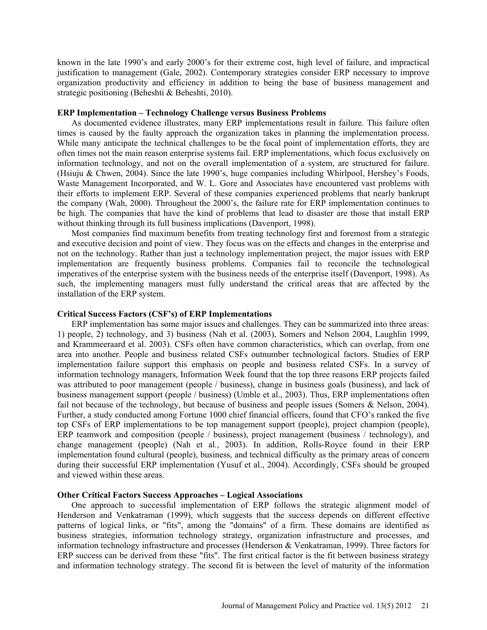known in the late 1990's and early 2000's for their extreme cost, high level of failure, and impractical justification to management (Gale, 2002). Contemporary strategies consider ERP necessary to improve organization productivity and efficiency in addition to being the base of business management and strategic positioning (Beheshti & Beheshti, 2010).

#### **ERP Implementation – Technology Challenge versus Business Problems**

As documented evidence illustrates, many ERP implementations result in failure. This failure often times is caused by the faulty approach the organization takes in planning the implementation process. While many anticipate the technical challenges to be the focal point of implementation efforts, they are often times not the main reason enterprise systems fail. ERP implementations, which focus exclusively on information technology, and not on the overall implementation of a system, are structured for failure. (Hsiuju & Chwen, 2004). Since the late 1990's, huge companies including Whirlpool, Hershey's Foods, Waste Management Incorporated, and W. L. Gore and Associates have encountered vast problems with their efforts to implement ERP. Several of these companies experienced problems that nearly bankrupt the company (Wah, 2000). Throughout the 2000's, the failure rate for ERP implementation continues to be high. The companies that have the kind of problems that lead to disaster are those that install ERP without thinking through its full business implications (Davenport, 1998).

Most companies find maximum benefits from treating technology first and foremost from a strategic and executive decision and point of view. They focus was on the effects and changes in the enterprise and not on the technology. Rather than just a technology implementation project, the major issues with ERP implementation are frequently business problems. Companies fail to reconcile the technological imperatives of the enterprise system with the business needs of the enterprise itself (Davenport, 1998). As such, the implementing managers must fully understand the critical areas that are affected by the installation of the ERP system.

#### **Critical Success Factors (CSF's) of ERP Implementations**

ERP implementation has some major issues and challenges. They can be summarized into three areas: 1) people, 2) technology, and 3) business (Nah et al. (2003), Somers and Nelson 2004, Laughlin 1999, and Krammeeraard et al. 2003). CSFs often have common characteristics, which can overlap, from one area into another. People and business related CSFs outnumber technological factors. Studies of ERP implementation failure support this emphasis on people and business related CSFs. In a survey of information technology managers, Information Week found that the top three reasons ERP projects failed was attributed to poor management (people / business), change in business goals (business), and lack of business management support (people / business) (Umble et al., 2003). Thus, ERP implementations often fail not because of the technology, but because of business and people issues (Somers & Nelson, 2004). Further, a study conducted among Fortune 1000 chief financial officers, found that CFO's ranked the five top CSFs of ERP implementations to be top management support (people), project champion (people), ERP teamwork and composition (people / business), project management (business / technology), and change management (people) (Nah et al*.*, 2003). In addition, Rolls-Royce found in their ERP implementation found cultural (people), business, and technical difficulty as the primary areas of concern during their successful ERP implementation (Yusuf et al., 2004). Accordingly, CSFs should be grouped and viewed within these areas.

#### **Other Critical Factors Success Approaches – Logical Associations**

One approach to successful implementation of ERP follows the strategic alignment model of Henderson and Venkatraman (1999), which suggests that the success depends on different effective patterns of logical links, or "fits", among the "domains" of a firm. These domains are identified as business strategies, information technology strategy, organization infrastructure and processes, and information technology infrastructure and processes (Henderson & Venkatraman, 1999). Three factors for ERP success can be derived from these "fits". The first critical factor is the fit between business strategy and information technology strategy. The second fit is between the level of maturity of the information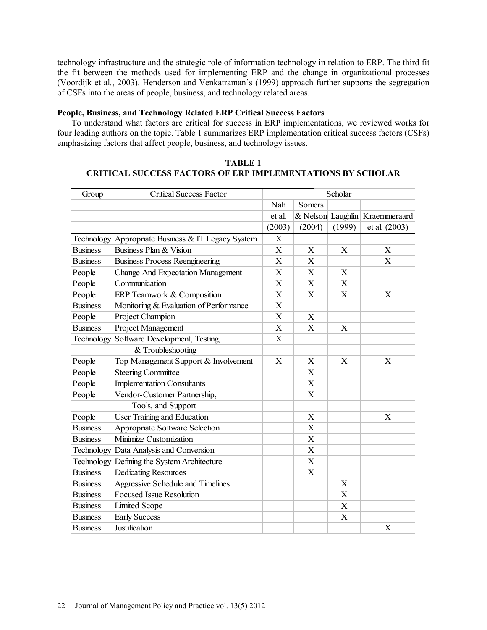technology infrastructure and the strategic role of information technology in relation to ERP. The third fit the fit between the methods used for implementing ERP and the change in organizational processes (Voordijk et al*.*, 2003). Henderson and Venkatraman's (1999) approach further supports the segregation of CSFs into the areas of people, business, and technology related areas.

#### **People, Business, and Technology Related ERP Critical Success Factors**

To understand what factors are critical for success in ERP implementations, we reviewed works for four leading authors on the topic. Table 1 summarizes ERP implementation critical success factors (CSFs) emphasizing factors that affect people, business, and technology issues.

| TABLE 1                                                           |
|-------------------------------------------------------------------|
| <b>CRITICAL SUCCESS FACTORS OF ERP IMPLEMENTATIONS BY SCHOLAR</b> |

| Group           | <b>Critical Success Factor</b>                     | Scholar        |                           |                           |                                |
|-----------------|----------------------------------------------------|----------------|---------------------------|---------------------------|--------------------------------|
|                 |                                                    | Nah            | Somers                    |                           |                                |
|                 |                                                    | et al.         |                           |                           | & Nelson Laughlin Kraemmeraard |
|                 |                                                    | (2003)         | (2004)                    | (1999)                    | et al. (2003)                  |
|                 | Technology Appropriate Business & IT Legacy System | X              |                           |                           |                                |
| <b>Business</b> | Business Plan & Vision                             | X              | X                         | X                         | X                              |
| <b>Business</b> | <b>Business Process Reengineering</b>              | $\mathbf X$    | $\boldsymbol{\mathrm{X}}$ |                           | X                              |
| People          | <b>Change And Expectation Management</b>           | X              | X                         | X                         |                                |
| People          | Communication                                      | X              | X                         | X                         |                                |
| People          | ERP Teamwork & Composition                         | X              | X                         | X                         | X                              |
| <b>Business</b> | Monitoring & Evaluation of Performance             | X              |                           |                           |                                |
| People          | Project Champion                                   | X              | X                         |                           |                                |
| <b>Business</b> | Project Management                                 | X              | X                         | X                         |                                |
| Technology      | Software Development, Testing,                     | $\overline{X}$ |                           |                           |                                |
|                 | & Troubleshooting                                  |                |                           |                           |                                |
| People          | Top Management Support & Involvement               | X              | X                         | X                         | X                              |
| People          | <b>Steering Committee</b>                          |                | X                         |                           |                                |
| People          | <b>Implementation Consultants</b>                  |                | X                         |                           |                                |
| People          | Vendor-Customer Partnership,                       |                | X                         |                           |                                |
|                 | Tools, and Support                                 |                |                           |                           |                                |
| People          | User Training and Education                        |                | $\boldsymbol{\mathrm{X}}$ |                           | X                              |
| <b>Business</b> | Appropriate Software Selection                     |                | X                         |                           |                                |
| <b>Business</b> | Minimize Customization                             |                | X                         |                           |                                |
|                 | Technology Data Analysis and Conversion            |                | $\boldsymbol{\mathrm{X}}$ |                           |                                |
|                 | Technology Defining the System Architecture        |                | X                         |                           |                                |
| <b>Business</b> | <b>Dedicating Resources</b>                        |                | X                         |                           |                                |
| <b>Business</b> | Aggressive Schedule and Timelines                  |                |                           | X                         |                                |
| <b>Business</b> | <b>Focused Issue Resolution</b>                    |                |                           | X                         |                                |
| <b>Business</b> | <b>Limited Scope</b>                               |                |                           | $\boldsymbol{\mathrm{X}}$ |                                |
| <b>Business</b> | <b>Early Success</b>                               |                |                           | X                         |                                |
| <b>Business</b> | Justification                                      |                |                           |                           | X                              |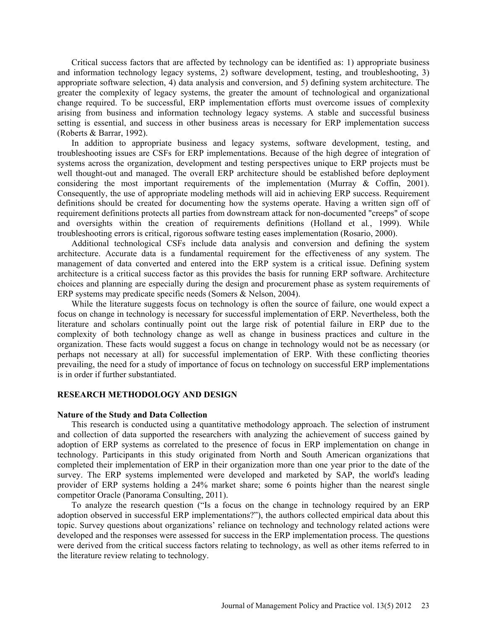Critical success factors that are affected by technology can be identified as: 1) appropriate business and information technology legacy systems, 2) software development, testing, and troubleshooting, 3) appropriate software selection, 4) data analysis and conversion, and 5) defining system architecture. The greater the complexity of legacy systems, the greater the amount of technological and organizational change required. To be successful, ERP implementation efforts must overcome issues of complexity arising from business and information technology legacy systems. A stable and successful business setting is essential, and success in other business areas is necessary for ERP implementation success (Roberts & Barrar, 1992).

In addition to appropriate business and legacy systems, software development, testing, and troubleshooting issues are CSFs for ERP implementations. Because of the high degree of integration of systems across the organization, development and testing perspectives unique to ERP projects must be well thought-out and managed. The overall ERP architecture should be established before deployment considering the most important requirements of the implementation (Murray & Coffin, 2001). Consequently, the use of appropriate modeling methods will aid in achieving ERP success. Requirement definitions should be created for documenting how the systems operate. Having a written sign off of requirement definitions protects all parties from downstream attack for non-documented "creeps" of scope and oversights within the creation of requirements definitions (Holland et al*.*, 1999). While troubleshooting errors is critical, rigorous software testing eases implementation (Rosario, 2000).

Additional technological CSFs include data analysis and conversion and defining the system architecture. Accurate data is a fundamental requirement for the effectiveness of any system. The management of data converted and entered into the ERP system is a critical issue. Defining system architecture is a critical success factor as this provides the basis for running ERP software. Architecture choices and planning are especially during the design and procurement phase as system requirements of ERP systems may predicate specific needs (Somers & Nelson, 2004).

While the literature suggests focus on technology is often the source of failure, one would expect a focus on change in technology is necessary for successful implementation of ERP. Nevertheless, both the literature and scholars continually point out the large risk of potential failure in ERP due to the complexity of both technology change as well as change in business practices and culture in the organization. These facts would suggest a focus on change in technology would not be as necessary (or perhaps not necessary at all) for successful implementation of ERP. With these conflicting theories prevailing, the need for a study of importance of focus on technology on successful ERP implementations is in order if further substantiated.

#### **RESEARCH METHODOLOGY AND DESIGN**

#### **Nature of the Study and Data Collection**

This research is conducted using a quantitative methodology approach. The selection of instrument and collection of data supported the researchers with analyzing the achievement of success gained by adoption of ERP systems as correlated to the presence of focus in ERP implementation on change in technology. Participants in this study originated from North and South American organizations that completed their implementation of ERP in their organization more than one year prior to the date of the survey. The ERP systems implemented were developed and marketed by SAP, the world's leading provider of ERP systems holding a 24% market share; some 6 points higher than the nearest single competitor Oracle (Panorama Consulting, 2011).

To analyze the research question ("Is a focus on the change in technology required by an ERP adoption observed in successful ERP implementations?"), the authors collected empirical data about this topic. Survey questions about organizations' reliance on technology and technology related actions were developed and the responses were assessed for success in the ERP implementation process. The questions were derived from the critical success factors relating to technology, as well as other items referred to in the literature review relating to technology.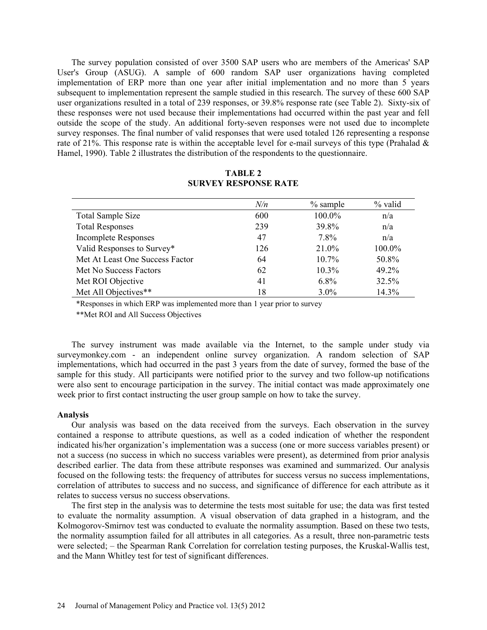The survey population consisted of over 3500 SAP users who are members of the Americas' SAP User's Group (ASUG). A sample of 600 random SAP user organizations having completed implementation of ERP more than one year after initial implementation and no more than 5 years subsequent to implementation represent the sample studied in this research. The survey of these 600 SAP user organizations resulted in a total of 239 responses, or 39.8% response rate (see Table 2). Sixty-six of these responses were not used because their implementations had occurred within the past year and fell outside the scope of the study. An additional forty-seven responses were not used due to incomplete survey responses. The final number of valid responses that were used totaled 126 representing a response rate of 21%. This response rate is within the acceptable level for e-mail surveys of this type (Prahalad  $\&$ Hamel, 1990). Table 2 illustrates the distribution of the respondents to the questionnaire.

|                                 | N/n | $\%$ sample | % valid |
|---------------------------------|-----|-------------|---------|
| <b>Total Sample Size</b>        | 600 | 100.0%      | n/a     |
| <b>Total Responses</b>          | 239 | 39.8%       | n/a     |
| <b>Incomplete Responses</b>     | 47  | 7.8%        | n/a     |
| Valid Responses to Survey*      | 126 | 21.0%       | 100.0%  |
| Met At Least One Success Factor | 64  | $10.7\%$    | 50.8%   |
| Met No Success Factors          | 62  | $10.3\%$    | 49.2%   |
| Met ROI Objective               | 41  | $6.8\%$     | 32.5%   |
| Met All Objectives**            | 18  | $3.0\%$     | 14.3%   |

## **TABLE 2 SURVEY RESPONSE RATE**

\*Responses in which ERP was implemented more than 1 year prior to survey

\*\*Met ROI and All Success Objectives

The survey instrument was made available via the Internet, to the sample under study via surveymonkey.com - an independent online survey organization. A random selection of SAP implementations, which had occurred in the past 3 years from the date of survey, formed the base of the sample for this study. All participants were notified prior to the survey and two follow-up notifications were also sent to encourage participation in the survey. The initial contact was made approximately one week prior to first contact instructing the user group sample on how to take the survey.

#### **Analysis**

Our analysis was based on the data received from the surveys. Each observation in the survey contained a response to attribute questions, as well as a coded indication of whether the respondent indicated his/her organization's implementation was a success (one or more success variables present) or not a success (no success in which no success variables were present), as determined from prior analysis described earlier. The data from these attribute responses was examined and summarized. Our analysis focused on the following tests: the frequency of attributes for success versus no success implementations, correlation of attributes to success and no success, and significance of difference for each attribute as it relates to success versus no success observations.

The first step in the analysis was to determine the tests most suitable for use; the data was first tested to evaluate the normality assumption. A visual observation of data graphed in a histogram, and the Kolmogorov-Smirnov test was conducted to evaluate the normality assumption. Based on these two tests, the normality assumption failed for all attributes in all categories. As a result, three non-parametric tests were selected; – the Spearman Rank Correlation for correlation testing purposes, the Kruskal-Wallis test, and the Mann Whitley test for test of significant differences.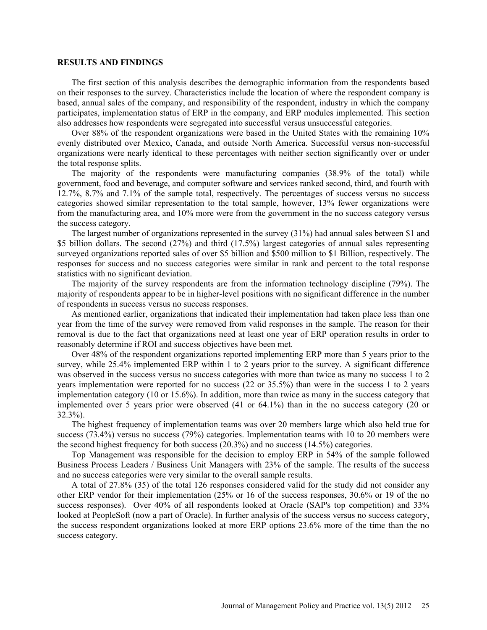#### **RESULTS AND FINDINGS**

The first section of this analysis describes the demographic information from the respondents based on their responses to the survey. Characteristics include the location of where the respondent company is based, annual sales of the company, and responsibility of the respondent, industry in which the company participates, implementation status of ERP in the company, and ERP modules implemented. This section also addresses how respondents were segregated into successful versus unsuccessful categories.

Over 88% of the respondent organizations were based in the United States with the remaining 10% evenly distributed over Mexico, Canada, and outside North America. Successful versus non-successful organizations were nearly identical to these percentages with neither section significantly over or under the total response splits.

The majority of the respondents were manufacturing companies (38.9% of the total) while government, food and beverage, and computer software and services ranked second, third, and fourth with 12.7%, 8.7% and 7.1% of the sample total, respectively. The percentages of success versus no success categories showed similar representation to the total sample, however, 13% fewer organizations were from the manufacturing area, and 10% more were from the government in the no success category versus the success category.

The largest number of organizations represented in the survey (31%) had annual sales between \$1 and \$5 billion dollars. The second (27%) and third (17.5%) largest categories of annual sales representing surveyed organizations reported sales of over \$5 billion and \$500 million to \$1 Billion, respectively. The responses for success and no success categories were similar in rank and percent to the total response statistics with no significant deviation.

The majority of the survey respondents are from the information technology discipline (79%). The majority of respondents appear to be in higher-level positions with no significant difference in the number of respondents in success versus no success responses.

As mentioned earlier, organizations that indicated their implementation had taken place less than one year from the time of the survey were removed from valid responses in the sample. The reason for their removal is due to the fact that organizations need at least one year of ERP operation results in order to reasonably determine if ROI and success objectives have been met.

Over 48% of the respondent organizations reported implementing ERP more than 5 years prior to the survey, while 25.4% implemented ERP within 1 to 2 years prior to the survey. A significant difference was observed in the success versus no success categories with more than twice as many no success 1 to 2 years implementation were reported for no success (22 or 35.5%) than were in the success 1 to 2 years implementation category (10 or 15.6%). In addition, more than twice as many in the success category that implemented over 5 years prior were observed (41 or 64.1%) than in the no success category (20 or 32.3%).

The highest frequency of implementation teams was over 20 members large which also held true for success (73.4%) versus no success (79%) categories. Implementation teams with 10 to 20 members were the second highest frequency for both success (20.3%) and no success (14.5%) categories.

Top Management was responsible for the decision to employ ERP in 54% of the sample followed Business Process Leaders / Business Unit Managers with 23% of the sample. The results of the success and no success categories were very similar to the overall sample results.

A total of 27.8% (35) of the total 126 responses considered valid for the study did not consider any other ERP vendor for their implementation (25% or 16 of the success responses, 30.6% or 19 of the no success responses). Over 40% of all respondents looked at Oracle (SAP's top competition) and 33% looked at PeopleSoft (now a part of Oracle). In further analysis of the success versus no success category, the success respondent organizations looked at more ERP options 23.6% more of the time than the no success category.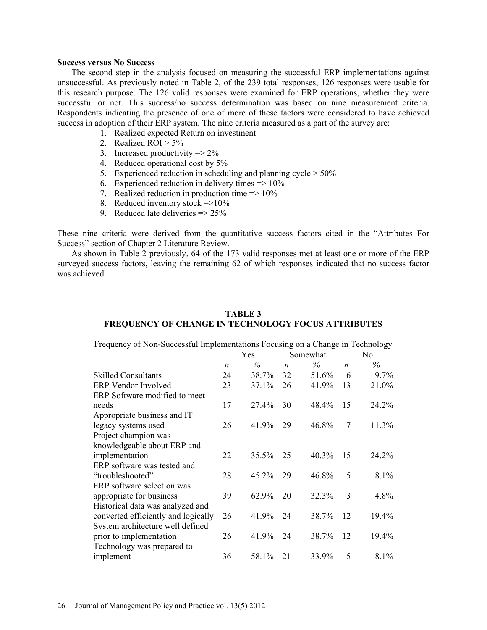#### **Success versus No Success**

The second step in the analysis focused on measuring the successful ERP implementations against unsuccessful. As previously noted in Table 2, of the 239 total responses, 126 responses were usable for this research purpose. The 126 valid responses were examined for ERP operations, whether they were successful or not. This success/no success determination was based on nine measurement criteria. Respondents indicating the presence of one of more of these factors were considered to have achieved success in adoption of their ERP system. The nine criteria measured as a part of the survey are:

- 1. Realized expected Return on investment
- 2. Realized ROI  $> 5\%$
- 3. Increased productivity  $\Rightarrow$  2%
- 4. Reduced operational cost by 5%
- 5. Experienced reduction in scheduling and planning cycle  $> 50\%$
- 6. Experienced reduction in delivery times  $\approx 10\%$
- 7. Realized reduction in production time  $\approx 10\%$
- 8. Reduced inventory stock  $\approx$  =>10%
- 9. Reduced late deliveries  $\approx 25\%$

These nine criteria were derived from the quantitative success factors cited in the "Attributes For Success" section of Chapter 2 Literature Review.

As shown in Table 2 previously, 64 of the 173 valid responses met at least one or more of the ERP surveyed success factors, leaving the remaining 62 of which responses indicated that no success factor was achieved.

## **TABLE 3 FREQUENCY OF CHANGE IN TECHNOLOGY FOCUS ATTRIBUTES**

Frequency of Non-Successful Implementations Focusing on a Change in Technology

|                                     |    | Yes      |                  | Somewhat |    | No      |
|-------------------------------------|----|----------|------------------|----------|----|---------|
|                                     | n  | $\%$     | $\boldsymbol{n}$ | $\%$     | n  | $\%$    |
| <b>Skilled Consultants</b>          | 24 | 38.7%    | 32               | 51.6%    | 6  | $9.7\%$ |
| <b>ERP</b> Vendor Involved          | 23 | 37.1%    | 26               | 41.9%    | 13 | 21.0%   |
| ERP Software modified to meet       |    |          |                  |          |    |         |
| needs                               | 17 | 27.4%    | 30               | 48.4%    | 15 | 24.2%   |
| Appropriate business and IT         |    |          |                  |          |    |         |
| legacy systems used                 | 26 | 41.9%    | 29               | 46.8%    | 7  | 11.3%   |
| Project champion was                |    |          |                  |          |    |         |
| knowledgeable about ERP and         |    |          |                  |          |    |         |
| implementation                      | 22 | $35.5\%$ | 25               | 40.3%    | 15 | 24.2%   |
| ERP software was tested and         |    |          |                  |          |    |         |
| "troubleshooted"                    | 28 | 45.2%    | 29               | 46.8%    | 5  | $8.1\%$ |
| ERP software selection was          |    |          |                  |          |    |         |
| appropriate for business            | 39 | 62.9%    | 20               | 32.3%    | 3  | 4.8%    |
| Historical data was analyzed and    |    |          |                  |          |    |         |
| converted efficiently and logically | 26 | 41.9%    | 24               | 38.7%    | 12 | 19.4%   |
| System architecture well defined    |    |          |                  |          |    |         |
| prior to implementation             | 26 | 41.9%    | 24               | 38.7%    | 12 | 19.4%   |
| Technology was prepared to          |    |          |                  |          |    |         |
| implement                           | 36 | 58.1%    | 21               | 33.9%    | 5  | $8.1\%$ |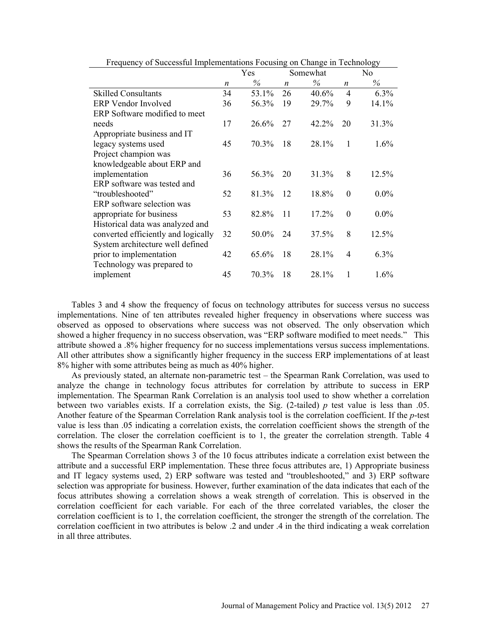|                                     | Yes |       | Somewhat         |          |                  | No      |
|-------------------------------------|-----|-------|------------------|----------|------------------|---------|
|                                     | n   | $\%$  | $\boldsymbol{n}$ | $\%$     | $\boldsymbol{n}$ | $\%$    |
| <b>Skilled Consultants</b>          | 34  | 53.1% | 26               | 40.6%    | $\overline{4}$   | 6.3%    |
| <b>ERP</b> Vendor Involved          | 36  | 56.3% | 19               | 29.7%    | 9                | 14.1%   |
| ERP Software modified to meet       |     |       |                  |          |                  |         |
| needs                               | 17  | 26.6% | 27               | $42.2\%$ | 20               | 31.3%   |
| Appropriate business and IT         |     |       |                  |          |                  |         |
| legacy systems used                 | 45  | 70.3% | 18               | 28.1%    | 1                | $1.6\%$ |
| Project champion was                |     |       |                  |          |                  |         |
| knowledgeable about ERP and         |     |       |                  |          |                  |         |
| implementation                      | 36  | 56.3% | 20               | 31.3%    | 8                | 12.5%   |
| ERP software was tested and         |     |       |                  |          |                  |         |
| "troubleshooted"                    | 52  | 81.3% | 12               | 18.8%    | $\Omega$         | $0.0\%$ |
| ERP software selection was          |     |       |                  |          |                  |         |
| appropriate for business            | 53  | 82.8% | 11               | 17.2%    | $\theta$         | $0.0\%$ |
| Historical data was analyzed and    |     |       |                  |          |                  |         |
| converted efficiently and logically | 32  | 50.0% | 24               | 37.5%    | 8                | 12.5%   |
| System architecture well defined    |     |       |                  |          |                  |         |
| prior to implementation             | 42  | 65.6% | 18               | 28.1%    | $\overline{4}$   | 6.3%    |
| Technology was prepared to          |     |       |                  |          |                  |         |
| implement                           | 45  | 70.3% | 18               | 28.1%    | 1                | $1.6\%$ |

Frequency of Successful Implementations Focusing on Change in Technology

Tables 3 and 4 show the frequency of focus on technology attributes for success versus no success implementations. Nine of ten attributes revealed higher frequency in observations where success was observed as opposed to observations where success was not observed. The only observation which showed a higher frequency in no success observation, was "ERP software modified to meet needs." This attribute showed a .8% higher frequency for no success implementations versus success implementations. All other attributes show a significantly higher frequency in the success ERP implementations of at least 8% higher with some attributes being as much as 40% higher.

As previously stated, an alternate non-parametric test – the Spearman Rank Correlation, was used to analyze the change in technology focus attributes for correlation by attribute to success in ERP implementation. The Spearman Rank Correlation is an analysis tool used to show whether a correlation between two variables exists. If a correlation exists, the Sig.  $(2$ -tailed)  $p$  test value is less than .05. Another feature of the Spearman Correlation Rank analysis tool is the correlation coefficient. If the *p*-test value is less than .05 indicating a correlation exists, the correlation coefficient shows the strength of the correlation. The closer the correlation coefficient is to 1, the greater the correlation strength. Table 4 shows the results of the Spearman Rank Correlation.

The Spearman Correlation shows 3 of the 10 focus attributes indicate a correlation exist between the attribute and a successful ERP implementation. These three focus attributes are, 1) Appropriate business and IT legacy systems used, 2) ERP software was tested and "troubleshooted," and 3) ERP software selection was appropriate for business. However, further examination of the data indicates that each of the focus attributes showing a correlation shows a weak strength of correlation. This is observed in the correlation coefficient for each variable. For each of the three correlated variables, the closer the correlation coefficient is to 1, the correlation coefficient, the stronger the strength of the correlation. The correlation coefficient in two attributes is below .2 and under .4 in the third indicating a weak correlation in all three attributes.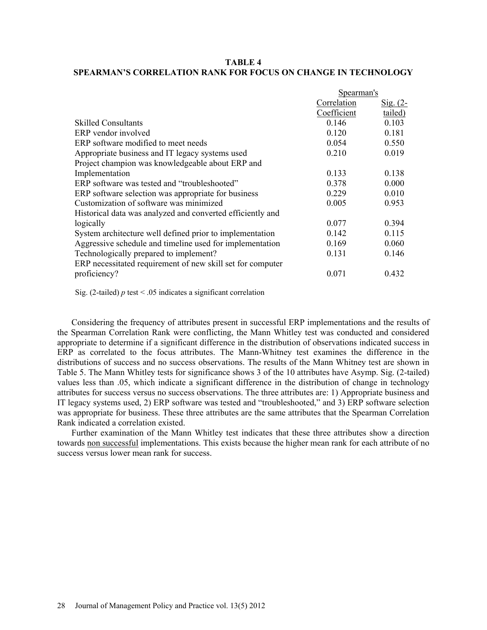## **TABLE 4 SPEARMAN'S CORRELATION RANK FOR FOCUS ON CHANGE IN TECHNOLOGY**

|                                                            | Spearman's  |                 |  |
|------------------------------------------------------------|-------------|-----------------|--|
|                                                            | Correlation | <u>Sig. (2-</u> |  |
|                                                            | Coefficient | tailed)         |  |
| <b>Skilled Consultants</b>                                 | 0.146       | 0.103           |  |
| ERP vendor involved                                        | 0.120       | 0.181           |  |
| ERP software modified to meet needs                        | 0.054       | 0.550           |  |
| Appropriate business and IT legacy systems used            | 0.210       | 0.019           |  |
| Project champion was knowledgeable about ERP and           |             |                 |  |
| Implementation                                             | 0.133       | 0.138           |  |
| ERP software was tested and "troubleshooted"               | 0.378       | 0.000           |  |
| ERP software selection was appropriate for business        | 0.229       | 0.010           |  |
| Customization of software was minimized                    | 0.005       | 0.953           |  |
| Historical data was analyzed and converted efficiently and |             |                 |  |
| logically                                                  | 0.077       | 0.394           |  |
| System architecture well defined prior to implementation   | 0.142       | 0.115           |  |
| Aggressive schedule and timeline used for implementation   | 0.169       | 0.060           |  |
| Technologically prepared to implement?                     | 0.131       | 0.146           |  |
| ERP necessitated requirement of new skill set for computer |             |                 |  |
| proficiency?                                               | 0.071       | 0.432           |  |

Sig. (2-tailed)  $p$  test < .05 indicates a significant correlation

Considering the frequency of attributes present in successful ERP implementations and the results of the Spearman Correlation Rank were conflicting, the Mann Whitley test was conducted and considered appropriate to determine if a significant difference in the distribution of observations indicated success in ERP as correlated to the focus attributes. The Mann-Whitney test examines the difference in the distributions of success and no success observations. The results of the Mann Whitney test are shown in Table 5. The Mann Whitley tests for significance shows 3 of the 10 attributes have Asymp. Sig. (2-tailed) values less than .05, which indicate a significant difference in the distribution of change in technology attributes for success versus no success observations. The three attributes are: 1) Appropriate business and IT legacy systems used, 2) ERP software was tested and "troubleshooted," and 3) ERP software selection was appropriate for business. These three attributes are the same attributes that the Spearman Correlation Rank indicated a correlation existed.

Further examination of the Mann Whitley test indicates that these three attributes show a direction towards non successful implementations. This exists because the higher mean rank for each attribute of no success versus lower mean rank for success.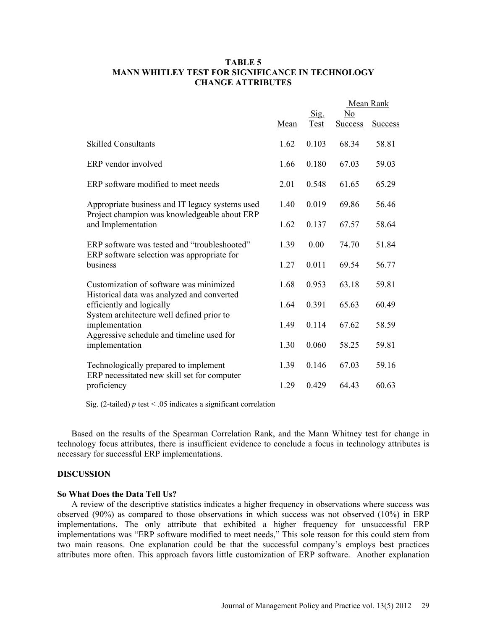## **TABLE 5 MANN WHITLEY TEST FOR SIGNIFICANCE IN TECHNOLOGY CHANGE ATTRIBUTES**

|                                                                         |      |              | Mean Rank            |                |
|-------------------------------------------------------------------------|------|--------------|----------------------|----------------|
|                                                                         | Mean | Sig.<br>Test | No<br><b>Success</b> | <b>Success</b> |
| <b>Skilled Consultants</b>                                              | 1.62 | 0.103        | 68.34                | 58.81          |
| ERP vendor involved                                                     | 1.66 | 0.180        | 67.03                | 59.03          |
| ERP software modified to meet needs                                     | 2.01 | 0.548        | 61.65                | 65.29          |
| Appropriate business and IT legacy systems used                         | 1.40 | 0.019        | 69.86                | 56.46          |
| Project champion was knowledgeable about ERP<br>and Implementation      | 1.62 | 0.137        | 67.57                | 58.64          |
| ERP software was tested and "troubleshooted"                            | 1.39 | 0.00         | 74.70                | 51.84          |
| ERP software selection was appropriate for<br>business                  | 1.27 | 0.011        | 69.54                | 56.77          |
| Customization of software was minimized                                 | 1.68 | 0.953        | 63.18                | 59.81          |
| Historical data was analyzed and converted<br>efficiently and logically | 1.64 | 0.391        | 65.63                | 60.49          |
| System architecture well defined prior to<br>implementation             | 1.49 | 0.114        | 67.62                | 58.59          |
| Aggressive schedule and timeline used for<br>implementation             | 1.30 | 0.060        | 58.25                | 59.81          |
| Technologically prepared to implement                                   | 1.39 | 0.146        | 67.03                | 59.16          |
| ERP necessitated new skill set for computer<br>proficiency              | 1.29 | 0.429        | 64.43                | 60.63          |

Sig. (2-tailed)  $p$  test < .05 indicates a significant correlation

Based on the results of the Spearman Correlation Rank, and the Mann Whitney test for change in technology focus attributes, there is insufficient evidence to conclude a focus in technology attributes is necessary for successful ERP implementations.

## **DISCUSSION**

#### **So What Does the Data Tell Us?**

A review of the descriptive statistics indicates a higher frequency in observations where success was observed (90%) as compared to those observations in which success was not observed (10%) in ERP implementations. The only attribute that exhibited a higher frequency for unsuccessful ERP implementations was "ERP software modified to meet needs," This sole reason for this could stem from two main reasons. One explanation could be that the successful company's employs best practices attributes more often. This approach favors little customization of ERP software. Another explanation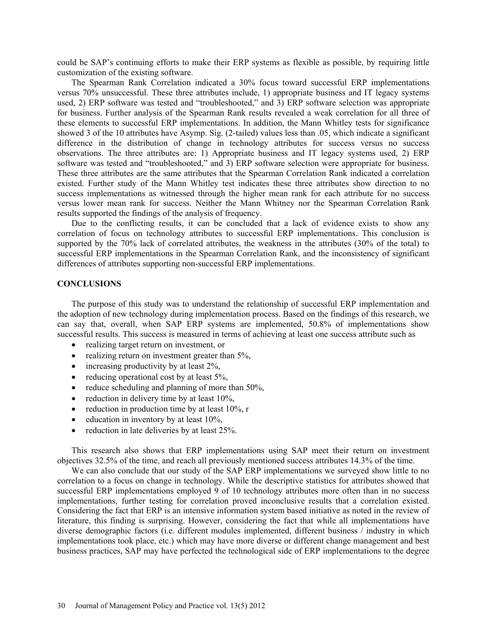could be SAP's continuing efforts to make their ERP systems as flexible as possible, by requiring little customization of the existing software.

The Spearman Rank Correlation indicated a 30% focus toward successful ERP implementations versus 70% unsuccessful. These three attributes include, 1) appropriate business and IT legacy systems used, 2) ERP software was tested and "troubleshooted," and 3) ERP software selection was appropriate for business. Further analysis of the Spearman Rank results revealed a weak correlation for all three of these elements to successful ERP implementations. In addition, the Mann Whitley tests for significance showed 3 of the 10 attributes have Asymp. Sig. (2-tailed) values less than .05, which indicate a significant difference in the distribution of change in technology attributes for success versus no success observations. The three attributes are: 1) Appropriate business and IT legacy systems used, 2) ERP software was tested and "troubleshooted," and 3) ERP software selection were appropriate for business. These three attributes are the same attributes that the Spearman Correlation Rank indicated a correlation existed. Further study of the Mann Whitley test indicates these three attributes show direction to no success implementations as witnessed through the higher mean rank for each attribute for no success versus lower mean rank for success. Neither the Mann Whitney nor the Spearman Correlation Rank results supported the findings of the analysis of frequency.

Due to the conflicting results, it can be concluded that a lack of evidence exists to show any correlation of focus on technology attributes to successful ERP implementations. This conclusion is supported by the 70% lack of correlated attributes, the weakness in the attributes (30% of the total) to successful ERP implementations in the Spearman Correlation Rank, and the inconsistency of significant differences of attributes supporting non-successful ERP implementations.

## **CONCLUSIONS**

The purpose of this study was to understand the relationship of successful ERP implementation and the adoption of new technology during implementation process. Based on the findings of this research, we can say that, overall, when SAP ERP systems are implemented, 50.8% of implementations show successful results. This success is measured in terms of achieving at least one success attribute such as

- realizing target return on investment, or
- realizing return on investment greater than  $5\%$ ,
- increasing productivity by at least 2%,
- reducing operational cost by at least  $5\%$ ,
- reduce scheduling and planning of more than  $50\%$ .
- reduction in delivery time by at least  $10\%$ ,
- reduction in production time by at least  $10\%$ , r
- $\bullet$  education in inventory by at least 10%,
- reduction in late deliveries by at least 25%.

This research also shows that ERP implementations using SAP meet their return on investment objectives 32.5% of the time, and reach all previously mentioned success attributes 14.3% of the time.

We can also conclude that our study of the SAP ERP implementations we surveyed show little to no correlation to a focus on change in technology. While the descriptive statistics for attributes showed that successful ERP implementations employed 9 of 10 technology attributes more often than in no success implementations, further testing for correlation proved inconclusive results that a correlation existed. Considering the fact that ERP is an intensive information system based initiative as noted in the review of literature, this finding is surprising. However, considering the fact that while all implementations have diverse demographic factors (i.e. different modules implemented, different business / industry in which implementations took place, etc.) which may have more diverse or different change management and best business practices, SAP may have perfected the technological side of ERP implementations to the degree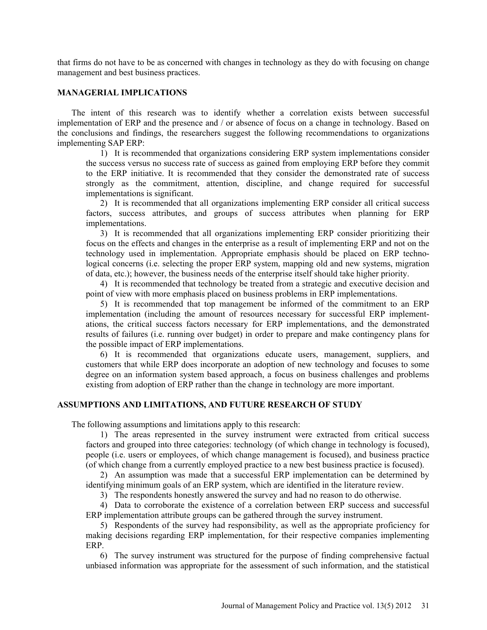that firms do not have to be as concerned with changes in technology as they do with focusing on change management and best business practices.

## **MANAGERIAL IMPLICATIONS**

The intent of this research was to identify whether a correlation exists between successful implementation of ERP and the presence and / or absence of focus on a change in technology. Based on the conclusions and findings, the researchers suggest the following recommendations to organizations implementing SAP ERP:

1) It is recommended that organizations considering ERP system implementations consider the success versus no success rate of success as gained from employing ERP before they commit to the ERP initiative. It is recommended that they consider the demonstrated rate of success strongly as the commitment, attention, discipline, and change required for successful implementations is significant.

2) It is recommended that all organizations implementing ERP consider all critical success factors, success attributes, and groups of success attributes when planning for ERP implementations.

3) It is recommended that all organizations implementing ERP consider prioritizing their focus on the effects and changes in the enterprise as a result of implementing ERP and not on the technology used in implementation. Appropriate emphasis should be placed on ERP technological concerns (i.e. selecting the proper ERP system, mapping old and new systems, migration of data, etc.); however, the business needs of the enterprise itself should take higher priority.

4) It is recommended that technology be treated from a strategic and executive decision and point of view with more emphasis placed on business problems in ERP implementations.

5) It is recommended that top management be informed of the commitment to an ERP implementation (including the amount of resources necessary for successful ERP implementations, the critical success factors necessary for ERP implementations, and the demonstrated results of failures (i.e. running over budget) in order to prepare and make contingency plans for the possible impact of ERP implementations.

6) It is recommended that organizations educate users, management, suppliers, and customers that while ERP does incorporate an adoption of new technology and focuses to some degree on an information system based approach, a focus on business challenges and problems existing from adoption of ERP rather than the change in technology are more important.

## **ASSUMPTIONS AND LIMITATIONS, AND FUTURE RESEARCH OF STUDY**

The following assumptions and limitations apply to this research:

1) The areas represented in the survey instrument were extracted from critical success factors and grouped into three categories: technology (of which change in technology is focused), people (i.e. users or employees, of which change management is focused), and business practice (of which change from a currently employed practice to a new best business practice is focused).

2) An assumption was made that a successful ERP implementation can be determined by identifying minimum goals of an ERP system, which are identified in the literature review.

3) The respondents honestly answered the survey and had no reason to do otherwise.

4) Data to corroborate the existence of a correlation between ERP success and successful ERP implementation attribute groups can be gathered through the survey instrument.

5) Respondents of the survey had responsibility, as well as the appropriate proficiency for making decisions regarding ERP implementation, for their respective companies implementing ERP.

6) The survey instrument was structured for the purpose of finding comprehensive factual unbiased information was appropriate for the assessment of such information, and the statistical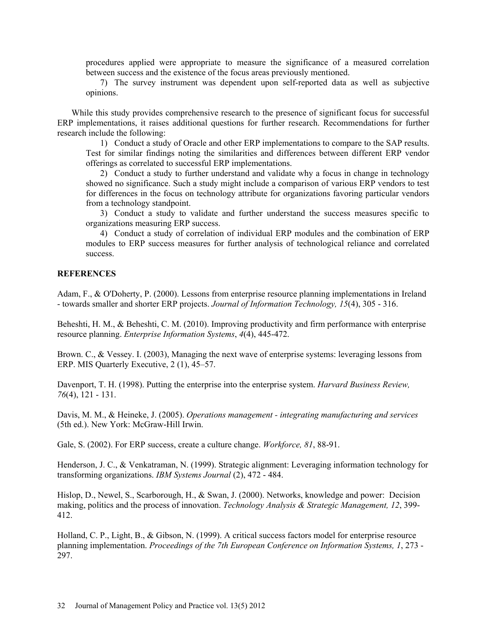procedures applied were appropriate to measure the significance of a measured correlation between success and the existence of the focus areas previously mentioned.

7) The survey instrument was dependent upon self-reported data as well as subjective opinions.

While this study provides comprehensive research to the presence of significant focus for successful ERP implementations, it raises additional questions for further research. Recommendations for further research include the following:

1) Conduct a study of Oracle and other ERP implementations to compare to the SAP results. Test for similar findings noting the similarities and differences between different ERP vendor offerings as correlated to successful ERP implementations.

2) Conduct a study to further understand and validate why a focus in change in technology showed no significance. Such a study might include a comparison of various ERP vendors to test for differences in the focus on technology attribute for organizations favoring particular vendors from a technology standpoint.

3) Conduct a study to validate and further understand the success measures specific to organizations measuring ERP success.

4) Conduct a study of correlation of individual ERP modules and the combination of ERP modules to ERP success measures for further analysis of technological reliance and correlated success.

### **REFERENCES**

Adam, F., & O'Doherty, P. (2000). Lessons from enterprise resource planning implementations in Ireland - towards smaller and shorter ERP projects. *Journal of Information Technology, 15*(4), 305 - 316.

Beheshti, H. M., & Beheshti, C. M. (2010). Improving productivity and firm performance with enterprise resource planning. *Enterprise Information Systems*, *4*(4), 445-472.

Brown. C., & Vessey. I. (2003), Managing the next wave of enterprise systems: leveraging lessons from ERP. MIS Quarterly Executive, 2 (1), 45–57.

Davenport, T. H. (1998). Putting the enterprise into the enterprise system. *Harvard Business Review, 76*(4), 121 - 131.

Davis, M. M., & Heineke, J. (2005). *Operations management - integrating manufacturing and services* (5th ed.). New York: McGraw-Hill Irwin.

Gale, S. (2002). For ERP success, create a culture change. *Workforce, 81*, 88-91.

Henderson, J. C., & Venkatraman, N. (1999). Strategic alignment: Leveraging information technology for transforming organizations. *IBM Systems Journal* (2), 472 - 484.

Hislop, D., Newel, S., Scarborough, H., & Swan, J. (2000). Networks, knowledge and power: Decision making, politics and the process of innovation. *Technology Analysis & Strategic Management, 12*, 399- 412.

Holland, C. P., Light, B., & Gibson, N. (1999). A critical success factors model for enterprise resource planning implementation. *Proceedings of the 7th European Conference on Information Systems, 1*, 273 - 297.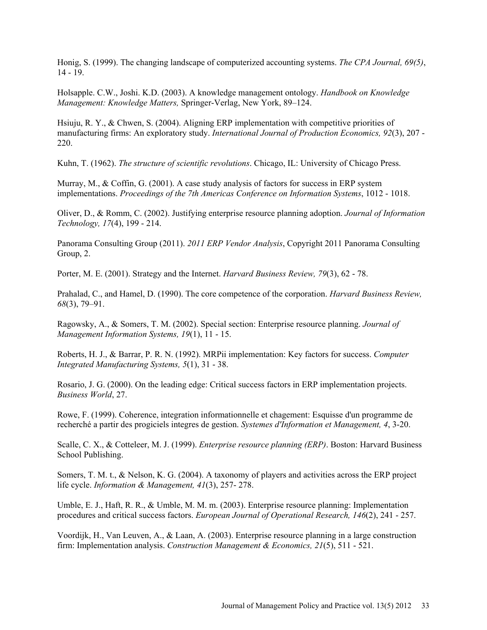Honig, S. (1999). The changing landscape of computerized accounting systems. *The CPA Journal, 69(5)*, 14 - 19.

Holsapple. C.W., Joshi. K.D. (2003). A knowledge management ontology. *Handbook on Knowledge Management: Knowledge Matters,* Springer-Verlag, New York, 89–124.

Hsiuju, R. Y., & Chwen, S. (2004). Aligning ERP implementation with competitive priorities of manufacturing firms: An exploratory study. *International Journal of Production Economics, 92*(3), 207 - 220.

Kuhn, T. (1962). *The structure of scientific revolutions*. Chicago, IL: University of Chicago Press.

Murray, M., & Coffin, G. (2001). A case study analysis of factors for success in ERP system implementations. *Proceedings of the 7th Americas Conference on Information Systems*, 1012 - 1018.

Oliver, D., & Romm, C. (2002). Justifying enterprise resource planning adoption. *Journal of Information Technology, 17*(4), 199 - 214.

Panorama Consulting Group (2011). *2011 ERP Vendor Analysis*, Copyright 2011 Panorama Consulting Group, 2.

Porter, M. E. (2001). Strategy and the Internet. *Harvard Business Review, 79*(3), 62 - 78.

Prahalad, C., and Hamel, D. (1990). The core competence of the corporation. *Harvard Business Review, 68*(3), 79–91.

Ragowsky, A., & Somers, T. M. (2002). Special section: Enterprise resource planning. *Journal of Management Information Systems, 19*(1), 11 - 15.

Roberts, H. J., & Barrar, P. R. N. (1992). MRPii implementation: Key factors for success. *Computer Integrated Manufacturing Systems, 5*(1), 31 - 38.

Rosario, J. G. (2000). On the leading edge: Critical success factors in ERP implementation projects. *Business World*, 27.

Rowe, F. (1999). Coherence, integration informationnelle et chagement: Esquisse d'un programme de recherché a partir des progiciels integres de gestion. *Systemes d'Information et Management, 4*, 3-20.

Scalle, C. X., & Cotteleer, M. J. (1999). *Enterprise resource planning (ERP)*. Boston: Harvard Business School Publishing.

Somers, T. M. t., & Nelson, K. G. (2004). A taxonomy of players and activities across the ERP project life cycle. *Information & Management, 41*(3), 257- 278.

Umble, E. J., Haft, R. R., & Umble, M. M. m. (2003). Enterprise resource planning: Implementation procedures and critical success factors. *European Journal of Operational Research, 146*(2), 241 - 257.

Voordijk, H., Van Leuven, A., & Laan, A. (2003). Enterprise resource planning in a large construction firm: Implementation analysis. *Construction Management & Economics, 21*(5), 511 - 521.